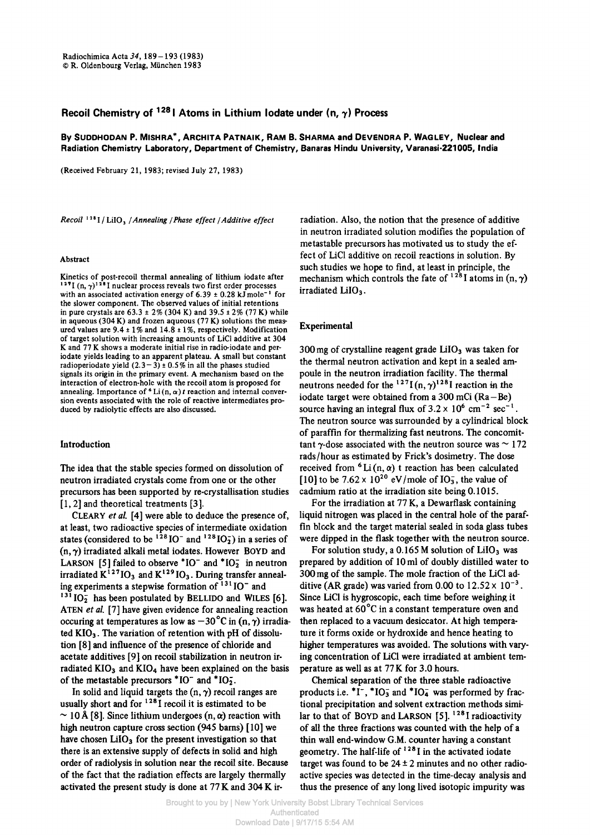# **Recoil Chemistry of 12 8 1 Atoms in Lithium lodate under (n, 7) Process**

By SUDDHODAN P. MISHRA<sup>\*</sup>, ARCHITA PATNAIK, RAM B. SHARMA and DEVENDRA P. WAGLEY, Nuclear and **Radiation Chemistry Laboratory, Department of Chemistry, Bañaras Hindu University, Varanasi-221005, I ndia** 

(Received February 21, 1983; revised July 27, 1983)

*Recoil* <sup>128</sup> I / LiIO, / *Annealing / Phase effect* / *Additive effect* 

### Abstract

Kinetics of post-recoil thermal annealing of lithium iodate after <sup>127</sup>I (n,  $\gamma$ <sup>) 28</sup>I nuclear process reveals two first order processes with an associated activation energy of  $6.39 \pm 0.28$  kJ mole<sup>-1</sup> for the slower component. The observed values of initial retentions in pure crystals are  $63.3 \pm 2\%$  (304 K) and 39.5  $\pm 2\%$  (77 K) while in aqueous (304 K) and frozen aqueous (77 K) solutions the measured values are  $9.4 \pm 1\%$  and  $14.8 \pm 1\%$ , respectively. Modification of target solution with increasing amounts of LiCl additive at 304 Κ and 77 Κ shows a moderate initial rise in radio-iodate and periodate yields leading to an apparent plateau. A small but constant radioperiodate yield  $(2.3-3) \pm 0.5\%$  in all the phases studied signals its origin in the primary event. A mechanism based on the interaction of electron-hole with the recoil atom is proposed for annealing. Importance of <sup>6</sup> Li(n, α) *t* reaction and internal conversion events associated with the role of reactive intermediates produced by radiolytic effects are also discussed.

### Introduction

The idea that the stable species formed on dissolution of neutron irradiated crystals come from one or the other precursors has been supported by re-crystallisation studies [1, 2] and theoretical treatments [3].

CLEARY *et al.* [4] were able to deduce the presence of, at least, two radioactive species of intermediate oxidation states (considered to be  $128$  IO<sup>-</sup> and  $128$  IO<sub>2</sub>) in a series of (n, **7)** irradiated alkali metal iodates. However BOYD and LARSON [5] failed to observe \*IO<sup>-</sup> and \*IO<sub>2</sub> in neutron irradiated  $K^{127}$ IO<sub>3</sub> and  $K^{129}$ IO<sub>3</sub>. During transfer annealing experiments a stepwise formation of  $131$  IO<sup>-</sup> and  $^{131}$  IO<sub>2</sub> has been postulated by BELLIDO and WILES [6]. ATEN *et al.* [7] have given evidence for annealing reaction occuring at temperatures as low as  $-30^{\circ}$ C in  $(n, \gamma)$  irradiated  $KIO<sub>3</sub>$ . The variation of retention with pH of dissolution [8] and influence of the presence of chloride and acétate additives [9] on recoil stabilization in neutron irradiated KIO<sub>3</sub> and KIO<sub>4</sub> have been explained on the basis of the metastable precursors  $*IO^-$  and  $*IO^-_2$ .

In solid and liquid targets the  $(n, \gamma)$  recoil ranges are usually short and for <sup>128</sup>I recoil it is estimated to be  $\sim$  10 Å [8]. Since lithium undergoes (n,  $\alpha$ ) reaction with high neutron capture cross section (945 bams) [10] we have chosen  $LiIO<sub>3</sub>$  for the present investigation so that there is an extensive supply of defects in solid and high order of radiolysis in solution near the recoil site. Because of the fact that the radiation effects are largely thermally activated the present study is done at 77 Κ and 304 Κ irradiation. Also, the notion that the presence of additive in neutron irradiated solution modifies the population of metastable precursors has motivated us to study the effect of LiCl additive on recoil reactions in solution. By such studies we hope to find, at least in principle, the mechanism which controls the fate of  $128$  I atoms in  $(n, \gamma)$ irradiated LiIO<sub>3</sub>.

### Experimental

 $300$  mg of crystalline reagent grade LiIO<sub>3</sub> was taken for the thermal neutron activation and kept in a sealed ampoule in the neutron irradiation facility. The thermal neutrons needed for the  $127$ I(n,  $\gamma$ )<sup>128</sup>I reaction in the iodate target were obtained from a 300 mCi (Ra-Be) source having an integral flux of  $3.2 \times 10^6$  cm<sup>-2</sup> sec<sup>-1</sup>. The neutron source was surrounded by a cylindrical block of paraffin for thermalizing fast neutrons. The concomittant  $\gamma$ -dose associated with the neutron source was  $\sim$  172 rads/hour as estimated by Frick's dosimetry. The dose received from  $6$ Li(n,  $\alpha$ ) t reaction has been calculated [10] to be  $7.62 \times 10^{20}$  eV/mole of IO<sub>3</sub>, the value of cadmium ratio at the irradiation site being 0.1015.

For the irradiation at 77 K, a Dewarflask containing liquid nitrogen was placed in the central hole of the paraffin block and the target material sealed in soda glass tubes were dipped in the flask together with the neutron source.

For solution study, a  $0.165$  M solution of LiIO<sub>3</sub> was prepared by addition of 10 ml of doubly distilled water to 300 mg of the sample. The mole fraction of the LiCl additive (AR grade) was varied from 0.00 to  $12.52 \times 10^{-3}$ . Since LiCl is hygroscopic, each time before weighing it was heated at 60°C in a constant temperature oven and then replaced to a vacuum desiccator. At high temperature it forms oxide or hydroxide and hence heating to higher temperatures was avoided. The solutions with varying concentration of LiCl were irradiated at ambient temperature as well as at 77 Κ for 3.0 hours.

Chemical separation of the three stable radioactive products i.e.  $*I^-$ ,  $*IO_3^-$  and  $*IO_4^-$  was performed by fractional precipitation and solvent extraction methods similar to that of BOYD and LARSON  $[5]$ , <sup>128</sup> I radioactivity of all the three fractions was counted with the help of a thin wall end-window G.M. counter having a constant geometry. The half-life of  $128$  I in the activated iodate target was found to be  $24 \pm 2$  minutes and no other radioactive species was detected in the time-decay analysis and thus the presence of any long lived isotopie impurity was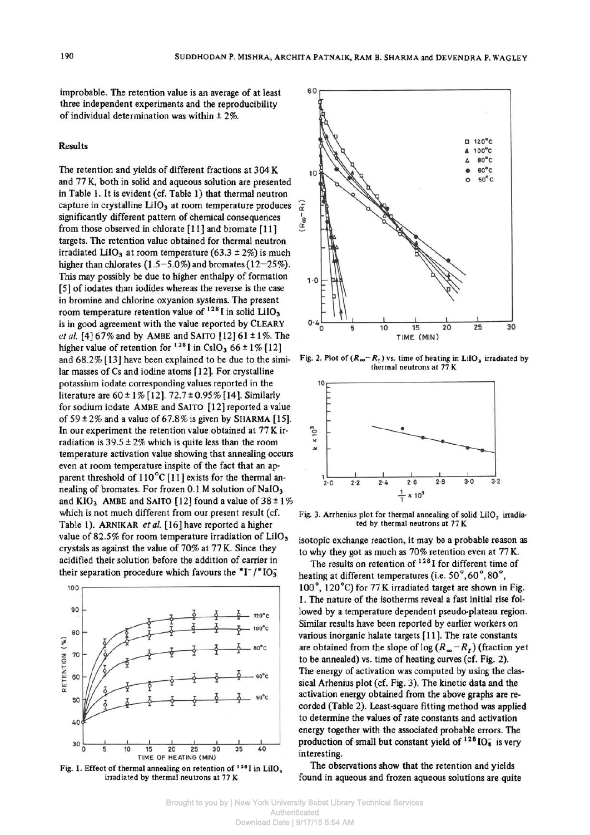improbable. The retention value is an average of at least three independent experiments and the reproducibility of individual determination was within  $\pm 2\%$ .

## Results

The retention and yields of different fractions at 304 Κ and 77 K, both in solid and aqueous solution are presented in Table 1. It is evident (cf. Table 1) that thermal neutron capture in crystalline LiIO<sub>3</sub> at room temperature produces  $\hat{\vec{x}}$ <br>significantly different pattern of chemical consequences  $\vec{y}$ <br>from those observed in chlorate [111] and bromate [111] significantly different pattern of chemical consequences from those observed in chlorate [11] and bromate [11 ] targets. The retention value obtained for thermal neutron irradiated LiIO<sub>3</sub> at room temperature (63.3  $\pm$  2%) is much higher than chlorates (1.5-5.0%) and bromates (12-25%). This may possibly be due to higher enthalpy of formation [5] of iodates than iodides whereas the reverse is the case in bromine and chlorine oxyanion systems. The present room temperature retention value of  $^{128}$ I in solid LiIO<sub>3</sub> is in good agreement with the value reported by CLEARY *et al.*  $[4] 67\%$  and by AMBE and SAITO  $[12] 61 \pm 1\%$ . The higher value of retention for  $128$  I in CsIO<sub>3</sub> 66 ± 1% [12] and 68.2% [13] have been explained to be due to the similar masses of Cs and iodine atoms [12]. For crystalline potassium iodate corresponding values reported in the literature are 60± 1% [12]. 72.7±0.95% [14]. Similarly for sodium iodate AMBE and SAITO [12] reported a value of  $59 \pm 2\%$  and a value of 67.8% is given by SHARMA [15]. In our experiment the retention value obtained at 77 Κ irradiation is  $39.5 \pm 2\%$  which is quite less than the room temperature activation value showing that annealing occurs even at room temperature inspite of the fact that an apparent threshold of 110°C [11] exists for the thermal annealing of bromates. For frozen 0.1 M solution of NaI0<sup>3</sup> and  $KIO<sub>3</sub>$  AMBE and SAITO [12] found a value of 38  $\pm$  1% which is not much different from our present result (cf. Table 1). ARNIKAR et al. [16] have reported a higher value of 82.5% for room temperature irradiation of LilO<sub>3</sub> crystals as against the value of 70% at 77 K. Since they acidified their solution before the addition of carrier in their separation procedure which favours the  $I^{\dagger}$ [ /\*IO<sub>3</sub>]



Fig. 1. Effect of thermal annealing on retention of  $128$ I in LiIO<sub>3</sub> **irradiated by thermal neutrons at 77 Κ** 



Fig. 2. Plot of  $(R_{\infty}-R_t)$  vs. time of heating in LiIO<sub>3</sub> irradiated by **thermal neutrons at 77 Κ** 



Fig. 3. Arrhenius plot for thermal annealing of solid LilO<sub>3</sub> irradia**ted by thermal neutrons at 77 Κ** 

isotopie exchange reaction, it may be a probable reason as to why they got as much as 70% retention even at 77 K.

The results on retention of  $128$  I for different time of heating at different temperatures (i.e. 50°, 60°, 80°, 100°, 120°C) for 77 Κ irradiated target are shown in Fig. 1. The nature of the isotherms reveal a fast initial rise followed by a temperature dependent pseudo-plateau region. Similar results have been reported by earlier workers on various inorganic halate targets [11], The rate constants are obtained from the slope of  $log (R_{\infty} - R_t)$  (fraction yet to be annealed) vs. time of heating curves (cf. Fig. 2). The energy of activation was computed by using the classical Arhenius plot (cf. Fig. 3). The kinetic data and the activation energy obtained from the above graphs are recorded (Table 2). Least-square fitting method was applied to determine the values of rate constants and activation energy together with the associated probable errors. The production of small but constant yield of  $128$  IO: is very interesting.

The observations show that the retention and yields found in aqueous and frozen aqueous solutions are quite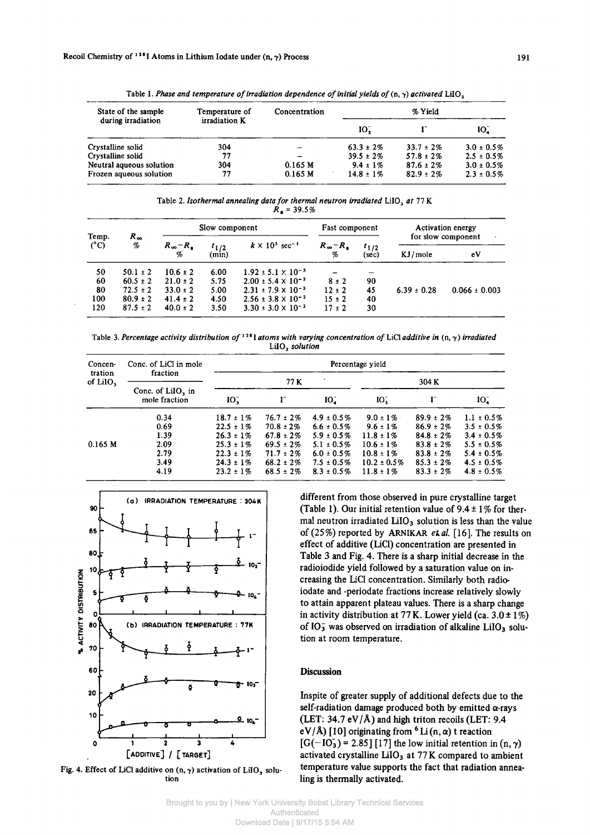| State of the sample      | Temperature of | Concentration | % Yield        |                |                 |  |
|--------------------------|----------------|---------------|----------------|----------------|-----------------|--|
| during irradiation       | irradiation K  |               | 10,            |                | IO.             |  |
| Crystalline solid        | 304            |               | $63.3 \pm 2\%$ | $33.7 \pm 2\%$ | $3.0 \pm 0.5\%$ |  |
| Crystalline solid        | 77             |               | $39.5 \pm 2\%$ | $57.8 \pm 2\%$ | $2.5 \pm 0.5\%$ |  |
| Neutral aqueous solution | 304            | 0.165 M       | $9.4 \pm 1\%$  | $87.6 \pm 2\%$ | $3.0 \pm 0.5\%$ |  |
| Frozen aqueous solution  | 77             | 0.165 M       | $14.8 \pm 1\%$ | $82.9 \pm 2\%$ | $2.3 \pm 0.5\%$ |  |

Table 1. Phase and temperature of irradiation dependence of initial yields of  $(n, \gamma)$  activated LiIO<sub>3</sub>

Table 2. *Isothermal annealing data for thermal neutron irradiated* LiI03 *at* 77 Κ  $R_{\bullet} = 39.5\%$ 

| Temp.<br>$(^{\circ}C)$ | $R_{\infty}$<br>% | Slow component                                                       |      |                                    | Fast component                 |            | <b>Activation energy</b> |                   |
|------------------------|-------------------|----------------------------------------------------------------------|------|------------------------------------|--------------------------------|------------|--------------------------|-------------------|
|                        |                   | $R_{\infty} - R_{\bullet}$<br>$\frac{t_{1/2}}{(\text{min})}$<br>$\%$ |      | $k \times 10^{3} \text{ sec}^{-1}$ |                                |            | for slow component       |                   |
|                        |                   |                                                                      |      | $R_{\infty} - R_{\bullet}$         | $\frac{t_{1/2}}{\text{(sec)}}$ | $KJ/mol$ e | eV                       |                   |
| 50                     | $50.1 \pm 2$      | $10.6 \pm 2$                                                         | 6.00 | $1.92 \pm 5.1 \times 10^{-3}$      |                                |            |                          |                   |
| 60                     | $60.5 \pm 2$      | $21.0 \pm 2$                                                         | 5.75 | $2.00 \pm 5.4 \times 10^{-3}$      | $8 \pm 2$                      | 90         |                          |                   |
| 80                     | $72.5 \pm 2$      | $33.0 \pm 2$                                                         | 5.00 | $2.31 \pm 7.9 \times 10^{-3}$      | $12 \pm 2$                     | 45         | $6.39 \pm 0.28$          | $0.066 \pm 0.003$ |
| 100                    | $80.9 \pm 2$      | $41.4 \pm 2$                                                         | 4.50 | $2.56 \pm 3.8 \times 10^{-2}$      | $15 \pm 2$                     | 40         |                          |                   |
| 120                    | $87.5 \pm 2$      | $40.0 \pm 2$                                                         | 3.50 | $3.30 \pm 3.0 \times 10^{-2}$      | $17 \pm 2$                     | 30         |                          |                   |

Table 3. Percentage activity distribution of <sup>128</sup>I atoms with varying concentration of LiCl additive in  $(n, \gamma)$  irradiated LilO, *solution* 

| Concen-<br>tration<br>of LiIO, | Conc. of LiCl in mole<br>fraction<br>Conc. of $LiIO3$ in<br>mole fraction | Percentage yield |                |                 |                  |                |                 |  |
|--------------------------------|---------------------------------------------------------------------------|------------------|----------------|-----------------|------------------|----------------|-----------------|--|
|                                |                                                                           | 77 K             |                |                 | 304 K            |                |                 |  |
|                                |                                                                           | IO <sub>1</sub>  |                | IO <sub>a</sub> | $IO_{1}^{-}$     |                | IO <sub>a</sub> |  |
| 0.165 M                        | 0.34                                                                      | $18.7 \pm 1\%$   | $76.7 \pm 2\%$ | $4.9 \pm 0.5\%$ | $9.0 \pm 1\%$    | $89.9 \pm 2\%$ | $1.1 \pm 0.5\%$ |  |
|                                | 0.69                                                                      | $22.5 \pm 1\%$   | $70.8 \pm 2\%$ | $6.6 \pm 0.5\%$ | $9.6 \pm 1\%$    | $86.9 \pm 2\%$ | $3.5 \pm 0.5\%$ |  |
|                                | 1.39                                                                      | $26.3 \pm 1\%$   | $67.8 \pm 2\%$ | $5.9 \pm 0.5\%$ | $11.8 \pm 1\%$   | $84.8 \pm 2\%$ | $3.4 \pm 0.5\%$ |  |
|                                | 2.09                                                                      | $25.3 \pm 1\%$   | $69.5 \pm 2\%$ | $5.1 \pm 0.5\%$ | $10.6 \pm 1\%$   | $83.8 \pm 2\%$ | $5.5 \pm 0.5\%$ |  |
|                                | 2.79                                                                      | $22.3 \pm 1\%$   | $71.7 \pm 2\%$ | $6.0 \pm 0.5\%$ | $10.8 \pm 1\%$   | $83.8 \pm 2\%$ | $5.4 \pm 0.5\%$ |  |
|                                | 3.49                                                                      | $24.3 \pm 1\%$   | $68.2 \pm 2\%$ | $7.5 \pm 0.5\%$ | $10.2 \pm 0.5\%$ | $85.3 \pm 2\%$ | $4.5 \pm 0.5\%$ |  |
|                                | 4.19                                                                      | $23.2 \pm 1\%$   | $68.5 \pm 2\%$ | $8.3 \pm 0.5\%$ | $11.8 \pm 1\%$   | $83.3 \pm 2\%$ | $4.8 \pm 0.5\%$ |  |



Fig. 4. Effect of LiCl additive on (n, *y)* activation of LilO, solution

**different from those observed in pure crystalline target (Table 1). Our initial retention value of 9.4 ± 1% for ther**mal neutron irradiated LiIO<sub>3</sub> solution is less than the value **of (25%) reported by** ARNIKAR *et al.* **[16]. The results on effect of additive (LiCl) concentration are presented in Table 3 and Fig. 4. There is a sharp initial decrease in the radioiodide yield followed by a saturation value on increasing the LiCl concentration. Similarly both radioiodate and -periodate fractions increase relatively slowly to attain apparent plateau values. There is a sharp change in activity distribution at 77 K. Lower yield (ca. 3.0 ± 1 %)**  of IO<sub>3</sub> was observed on irradiation of alkaline LiIO<sub>3</sub> solu**tion at room temperature.** 

## **Discussion**

**Inspite of greater supply of additional defects due to the self-radiation damage produced both by emitted α-rays (LET: 34.7 eV/Å) and high triton recoils (LET: 9.4**  $eV/A$ ) [10] originating from  $^{6}$  Li(n,  $\alpha$ ) t reaction  $[G(-IO<sub>3</sub>) = 2.85]$  [17] the low initial retention in  $(n, \gamma)$ **activated crystalline UI03 at 77 Κ compared to ambient temperature value supports the fact that radiation annealing is thermally activated.**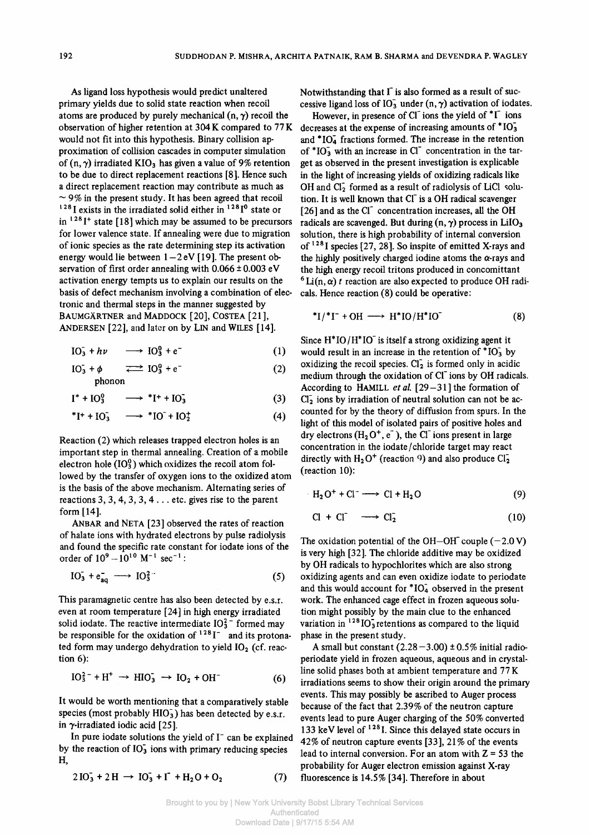As ligand loss hypothesis would predict unaltered primary yields due to solid state reaction when recoil atoms are produced by purely mechanical  $(n, \gamma)$  recoil the observation of higher retention at 304 Κ compared to 77 Κ would not fit into this hypothesis. Binary collision approximation of collision cascades in computer simulation of  $(n, \gamma)$  irradiated KIO<sub>3</sub> has given a value of 9% retention to be due to direct replacement reactions [8]. Hence such a direct replacement reaction may contribute as much as  $\sim$  9% in the present study. It has been agreed that recoil <sup>128</sup>I exists in the irradiated solid either in  $1281^{\circ}$  state or in  $128$ <sup>1+</sup> state [18] which may be assumed to be precursors for lower valence state. If annealing were due to migration of ionic species as the rate determining step its activation energy would lie between  $1 - 2eV$  [19]. The present observation of first order annealing with  $0.066 \pm 0.003$  eV activation energy tempts us to explain our results on the basis of defect mechanism involving a combination of electronic and thermal steps in the manner suggested by BAUMGÄRTNER and MADDOCK [20], COSTEA [21], ANDERSEN [22], and later on by LIN and WILES [14].

$$
IO_3^+ + h\nu \longrightarrow IO_3^0 + e^-
$$
 (1)

$$
IO3 + \phi \qquad \Longleftrightarrow IO30 + e^-
$$
 (2)  
phonon

$$
I^* + IO_3^0 \longrightarrow {}^*I^* + IO_3^{\widetilde{}} \tag{3}
$$

$$
*I^+ + IO_3^- \longrightarrow *IO^- + IO_2^+ \tag{4}
$$

Reaction (2) which releases trapped electron holes is an important step in thermal annealing. Creation of a mobile electron hole  $(IO<sub>3</sub><sup>0</sup>)$  which oxidizes the recoil atom followed by the transfer of oxygen ions to the oxidized atom is the basis of the above mechanism. Alternating series of reactions  $3, 3, 4, 3, 3, 4...$  etc. gives rise to the parent form [14],

ANBAR and NETA [23] observed the rates of reaction of halate ions with hydrated electrons by pulse radiolysis and found the specific rate constant for iodate ions of the order of  $10^9 - 10^{10}$  M<sup>-1</sup> sec<sup>-1</sup>:

$$
IO3 + eaq \longrightarrow IO32 \tag{5}
$$

This paramagnetic centre has also been detected by e.s.r. even at room temperature [24] in high energy irradiated solid iodate. The reactive intermediate  $IO<sub>3</sub><sup>2</sup>$  formed may be responsible for the oxidation of  $128$ <sup>1-</sup> and its protonated form may undergo dehydration to yield  $IO<sub>2</sub>$  (cf. reaction 6):

$$
IO32- + H+ \rightarrow HIO3- \rightarrow IO2 + OH-
$$
 (6)

It would be worth mentioning that a comparatively stable species (most probably  $HIO<sub>3</sub>$ ) has been detected by e.s.r. in γ-irradiated iodic acid [25].

In pure iodate solutions the yield of Γ can be explained by the reaction of  $IO_3^-$  ions with primary reducing species H,

$$
2IO3 + 2H \rightarrow IO3 + \Gamma + H2O + O2
$$
 (7)

Notwithstanding that  $\Gamma$  is also formed as a result of successive ligand loss of  $IO_3^-$  under  $(n, \gamma)$  activation of iodates.

However, in presence of C $\overline{C}$  ions the yield of  $\overline{C}$  ions decreases at the expense of increasing amounts of  $*IO<sub>3</sub>$ and  $*IO<sub>4</sub>$  fractions formed. The increase in the retention of  $*IO_3$  with an increase in Cl<sup>-</sup> concentration in the target as observed in the present investigation is explicable in the light of increasing yields of oxidizing radicals like OH and  $Cl<sub>2</sub>$  formed as a result of radiolysis of LiCl solution. It is well known that Cl is a OH radical scavenger [26] and as the Cl<sup>-</sup> concentration increases, all the OH radicals are scavenged. But during  $(n, \gamma)$  process in LiIO<sub>3</sub> solution, there is high probability of internal conversion of  $128$  I species [27, 28]. So inspite of emitted X-rays and the highly positively charged iodine atoms the α-rays and the high energy recoil tritons produced in concomittant  $6$  Li(n,  $\alpha$ ) t reaction are also expected to produce OH radicals. Hence reaction (8) could be operative:

$$
*I/*I^- + OH \longrightarrow H^*IO/H^*IO
$$
 (8)

Since  $H^*IO/H^*IO^-$  is itself a strong oxidizing agent it would result in an increase in the retention of  $*IO<sub>3</sub>$  by oxidizing the recoil species.  $CI<sub>2</sub>$  is formed only in acidic medium through the oxidation of Cl<sup>-</sup>ions by OH radicals. According to HAMILL et al. [29-31] the formation of  $Cl<sub>2</sub>$  ions by irradiation of neutral solution can not be accounted for by the theory of diffusion from spurs. In the light of this model of isolated pairs of positive holes and dry electrons  $(H_2O^+, e^-)$ , the Cl ions present in large concentration in the iodate/chloride target may react directly with  $H_2O^+$  (reaction 9) and also produce  $Cl_2^-$ (reaction 10):

$$
H_2O^+ + Cl^- \longrightarrow Cl + H_2O \tag{9}
$$

$$
Cl + Cl^- \longrightarrow Cl_2^- \tag{10}
$$

The oxidation potential of the OH-OH<sup> $-$ </sup> couple (-2.0 V) is very high [32]. The chloride additive may be oxidized by OH radicals to hypochlorites which are also strong oxidizing agents and can even oxidize iodate to periodate and this would account for  $*IO<sub>4</sub>$  observed in the present work. The enhanced cage effect in frozen aqueous solution might possibly by the main clue to the enhanced variation in  $128$  IO<sub>3</sub> retentions as compared to the liquid phase in the present study.

A small but constant  $(2.28-3.00) \pm 0.5\%$  initial radioperiodate yield in frozen aqueous, aqueous and in crystalline solid phases both at ambient temperature and 77 Κ irradiations seems to show their origin around the primary events. This may possibly be ascribed to Auger process because of the fact that 2.39% of the neutron capture events lead to pure Auger charging of the 50% converted 133 keV level of  $128$  I. Since this delayed state occurs in 42% of neutron capture events [33], 21% of the events lead to internal conversion. For an atom with  $Z = 53$  the probability for Auger electron emission against X-ray fluorescence is 14.5% [34]. Therefore in about

Brought to you by | New York University Bobst Library Technical Services Authenticated Download Date | 9/17/15 5:54 AM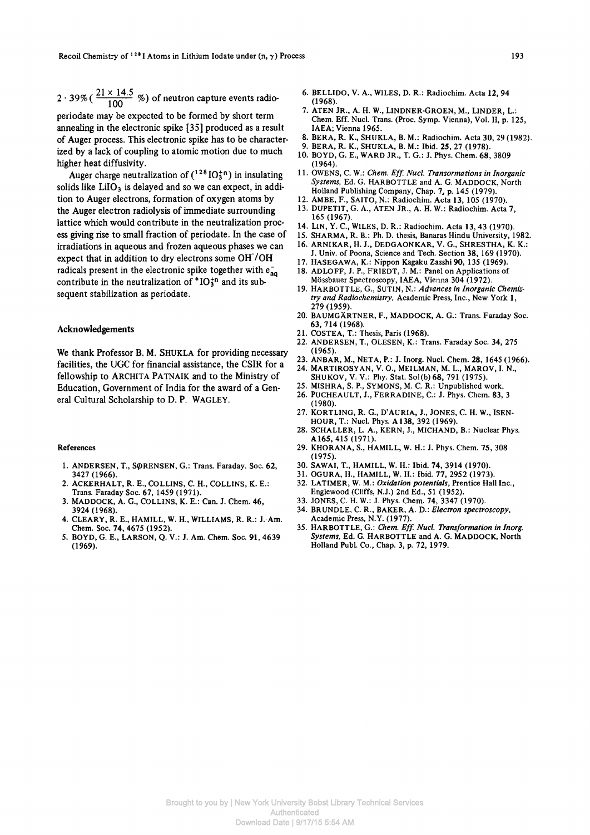$2 \cdot 39\%$  ( $\frac{21 \times 14.5}{100}$  %) of neutron capture events radio-

**periodate may be expected to be formed by short term annealing in the electronic spike [35 ] produced as a result**  of Auger process. This electronic spike has to be character**ized by a lack of coupling to atomic motion due to much higher heat diffusivity.** 

Auger charge neutralization of  $({}^{128}$  IO<sub>3</sub><sup>n</sup>) in insulating solids like LiIO<sub>3</sub> is delayed and so we can expect, in addi**tion to Auger electrons, formation of oxygen atoms by the Auger electron radiolysis of immediate surrounding lattice which would contribute in the neutralization proc**ess giving rise to small fraction of periodate. In the case of **irradiations in aqueous and frozen aqueous phases we can expect that in addition to dry electrons some OH"/OH**  radicals present in the electronic spike together with  $e_{aa}^$ contribute in the neutralization of \*IO<sub>3</sub><sup>n</sup> and its sub**sequent stabilization as periodate.** 

## **Acknowledgements**

We thank Professor B. M. SHUKLA for providing necessary **facilities, the UGC for financial assistance, the CSIR for a**  fellowship to ARCHITA PATNAIK and to the Ministry of Education, Government of India for the award of a Gen**eral Cultural Scholarship to D. P.** WAGLEY .

#### References

- 1. ANDERSEN, T., SpRENSEN, G.: Trans. Faraday. Soc. 62, 3427 (1966).
- 2. ACKERHALT, R. E., COLLINS, C. H., COLLINS, K. E.: Trans. Faraday Soc. 67, 1459 (1971).
- 3. MADDOCK, A. G., COLLINS, K. E.: Can. J. Chem. 46, 3924 (1968).
- 4. CLEARY, R. E., HAMILL, W. H., WILLIAMS, R. R.: J. Am. Chem. Soc. 74, 4675 (1952).
- 5. BOYD, G. E., LARSON, Q. V.: J. Am. Chem. Soc. 91, 4639 (1969).
- 6. BELLIDO, V. Α., WILES, D. R.: Radiochim. Acta 12, 94 (1968).
- 7. ATEN JR., A. H. W., LINDNER-GROEN, M., LINDER, L.: Chem. Eff. Nucl. Trans. (Proc. Symp. Vienna), Vol. II, p. 125, IAEA; Vienna 1965.
- 8. BERA, R. K., SHUKLA, Β. M.: Radiochim. Acta 30, 29 (1982).
- 9. BERA, R. K., SHUKLA, Β. M.: Ibid. 25, 27 (1978).
- 10. BOYD, G. E., WARD JR., T. G.: J. Phys. Chem. 68, 3809 (1964).
- 11. OWENS, C. W.: Chem. Eff. Nucl. Transormations in Inorganic *Systems,* Ed. G. HARBOTTLE and A. G. MADDOCK, North Holland Publishing Company, Chap. 7, p. 145 (1979).
- 12. AMBE, F., SAITO, Ν.: Radiochim. Acta 13, 105 (1970).
- 13. DUPETIT, G. Α., ATEN JR., Α. Η. W.: Radiochim. Acta 7, 165 (1967).
- 14. LIN, Y. C., WILES, D. R.: Radiochim. Acta 13, 43 (1970).
- 15. SHARMA, R. B.: Ph. D. thesis, Banaras Hindu University, 1982.
- 16. ARNI KAR, H. J., DEDGAONKAR, V. G., SHRESTHA, Κ. Κ.: J. Univ. of Poona, Science and Tech. Section 38, 169 (1970).
- 17. HASEGAWA, K.: Nippon Kagaku Zasshi 90, 135 (1969).
- 18. ADLOFF, J. P., FRIEDT, J. M.: Panel on Applications of Mössbauer Spectroscopy, IAEA, Vienna 304 (1972).
- 19. HARBOTTLE, G., SUTIN, N.: Advances in Inorganic Chemis*try and Radiochemistry,* Academic Press, Inc., New York 1, 279(1959) .
- 20. BAUMGΔRTNER, F., MADDOCK, A. G.: Trans. Faraday Soc. 63,714(1968).
- 21. COSTEA, T.: Thesis, Paris (1968).
- 22. ANDERSEN, T., OLESEN, Κ.: Trans. Faraday Soc. 34, 275 (1965).
- 23. ANBAR, M., NETA, P.: J. Inorg. Nucl. Chem. 28, 1645 (1966).
- 24. MARTIROSYAN, V. O., MEILMAN, M. L., MAROV, I. N., SHUKOV, V. V.: Phy. Stat. Sol(b) 68, 791 (1975).
- 25. MISHRA, S. P., SYMONS, M. C. R.: Unpublished work.
- 26. PUCHEAULT, J., FERRADINE, C.: J. Phys. Chem. 83, 3 (1980). 27. KORTLING, R. G., D'AURIA, J., JONES, C. H. W., ISEN-
- HOUR, T.: Nucl. Phys. A138, 392 (1969).
- 28. SCHALLER, L. Α., KERN, J., MICHAND, Β.: Nuclear Phys. A165, 415 (1971).
- 29. KHORANA, S., HAMILL, W. H.: J. Phys. Chem. 75, 308 (1975).
- 30. SAWAI, T., HAMILL, W. H.: Ibid. 74, 3914 (1970).
- 31. OGURA, H., HAMILL, W. H.: Ibid. 77, 2952 (1973). 32. LATIMER, W. M.: *Oxidation potentials*, Prentice Hall Inc.,
- Englewood (Cliffs, N.J.) 2nd Ed., 51 (1952). 33. JONES, C. H. W.: J. Phys. Chem. 74, 3347 (1970).
- 34. BRUNDLE, C. R., BAKER, A. D.: *Electron spectroscopy,*  Academic Press, N.Y. (1977).
- 35. HARBOTTLE, G.: *Chem. Eff . Nucl. Transformation in Inorg. Systems,* Ed. G. HARBOTTLE and A. G. MADDOCK, North Holland Pubi. Co., Chap. 3, p. 72, 1979.